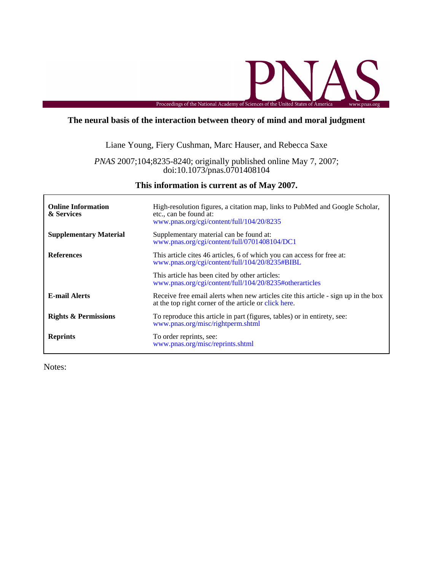

٦

## **The neural basis of the interaction between theory of mind and moral judgment**

## Liane Young, Fiery Cushman, Marc Hauser, and Rebecca Saxe

## doi:10.1073/pnas.0701408104 *PNAS* 2007;104;8235-8240; originally published online May 7, 2007;

## **This information is current as of May 2007.**

| <b>Online Information</b><br>& Services | High-resolution figures, a citation map, links to PubMed and Google Scholar,<br>etc., can be found at:<br>www.pnas.org/cgi/content/full/104/20/8235 |  |  |  |  |  |
|-----------------------------------------|-----------------------------------------------------------------------------------------------------------------------------------------------------|--|--|--|--|--|
| <b>Supplementary Material</b>           | Supplementary material can be found at:<br>www.pnas.org/cgi/content/full/0701408104/DC1                                                             |  |  |  |  |  |
| <b>References</b>                       | This article cites 46 articles, 6 of which you can access for free at:<br>www.pnas.org/cgi/content/full/104/20/8235#BIBL                            |  |  |  |  |  |
|                                         | This article has been cited by other articles:<br>www.pnas.org/cgi/content/full/104/20/8235#otherarticles                                           |  |  |  |  |  |
| <b>E-mail Alerts</b>                    | Receive free email alerts when new articles cite this article - sign up in the box<br>at the top right corner of the article or click here.         |  |  |  |  |  |
| <b>Rights &amp; Permissions</b>         | To reproduce this article in part (figures, tables) or in entirety, see:<br>www.pnas.org/misc/rightperm.shtml                                       |  |  |  |  |  |
| <b>Reprints</b>                         | To order reprints, see:<br>www.pnas.org/misc/reprints.shtml                                                                                         |  |  |  |  |  |

Notes:

г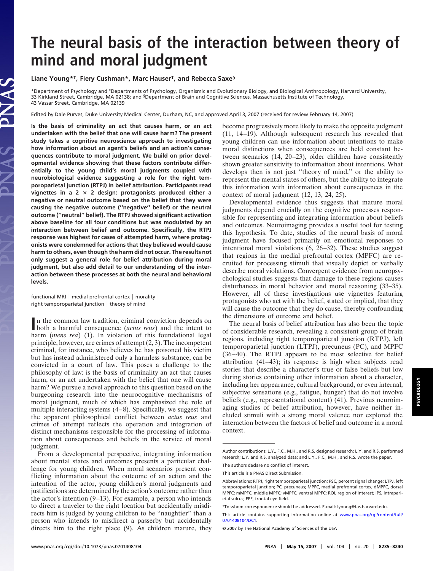# **The neural basis of the interaction between theory of mind and moral judgment**

### **Liane Young\*†, Fiery Cushman\*, Marc Hauser‡, and Rebecca Saxe§**

\*Department of Psychology and ‡Departments of Psychology, Organismic and Evolutionary Biology, and Biological Anthropology, Harvard University, 33 Kirkland Street, Cambridge, MA 02138; and §Department of Brain and Cognitive Sciences, Massachusetts Institute of Technology, 43 Vassar Street, Cambridge, MA 02139

Edited by Dale Purves, Duke University Medical Center, Durham, NC, and approved April 3, 2007 (received for review February 14, 2007)

**Is the basis of criminality an act that causes harm, or an act undertaken with the belief that one will cause harm? The present study takes a cognitive neuroscience approach to investigating how information about an agent's beliefs and an action's consequences contribute to moral judgment. We build on prior developmental evidence showing that these factors contribute differentially to the young child's moral judgments coupled with neurobiological evidence suggesting a role for the right temporoparietal junction (RTPJ) in belief attribution. Participants read vignettes in a 2 2 design: protagonists produced either a negative or neutral outcome based on the belief that they were causing the negative outcome (''negative'' belief) or the neutral outcome (''neutral'' belief). The RTPJ showed significant activation above baseline for all four conditions but was modulated by an interaction between belief and outcome. Specifically, the RTPJ response was highest for cases of attempted harm, where protagonists were condemned for actions that they believed would cause harm to others, even though the harm did not occur. The results not only suggest a general role for belief attribution during moral judgment, but also add detail to our understanding of the interaction between these processes at both the neural and behavioral levels.**

functional MRI | medial prefrontal cortex | morality | right temporoparietal junction  $|$  theory of mind

In the common law tradition, criminal conviction depends on both a harmful consequence *(actus reus)* and the intent to both a harmful consequence (*actus reus*) and the intent to harm (*mens rea*) (1). In violation of this foundational legal principle, however, are crimes of attempt (2, 3). The incompetent criminal, for instance, who believes he has poisoned his victim but has instead administered only a harmless substance, can be convicted in a court of law. This poses a challenge to the philosophy of law: is the basis of criminality an act that causes harm, or an act undertaken with the belief that one will cause harm? We pursue a novel approach to this question based on the burgeoning research into the neurocognitive mechanisms of moral judgment, much of which has emphasized the role of multiple interacting systems (4–8). Specifically, we suggest that the apparent philosophical conflict between *actus reus* and crimes of attempt reflects the operation and integration of distinct mechanisms responsible for the processing of information about consequences and beliefs in the service of moral judgment.

From a developmental perspective, integrating information about mental states and outcomes presents a particular challenge for young children. When moral scenarios present conflicting information about the outcome of an action and the intention of the actor, young children's moral judgments and justifications are determined by the action's outcome rather than the actor's intention (9–13). For example, a person who intends to direct a traveler to the right location but accidentally misdirects him is judged by young children to be ''naughtier'' than a person who intends to misdirect a passerby but accidentally directs him to the right place (9). As children mature, they

become progressively more likely to make the opposite judgment (11, 14–19). Although subsequent research has revealed that young children can use information about intentions to make moral distinctions when consequences are held constant between scenarios (14, 20–23), older children have consistently shown greater sensitivity to information about intentions. What develops then is not just ''theory of mind,'' or the ability to represent the mental states of others, but the ability to integrate this information with information about consequences in the context of moral judgment (12, 13, 24, 25).

Developmental evidence thus suggests that mature moral judgments depend crucially on the cognitive processes responsible for representing and integrating information about beliefs and outcomes. Neuroimaging provides a useful tool for testing this hypothesis. To date, studies of the neural basis of moral judgment have focused primarily on emotional responses to intentional moral violations (6, 26–32). These studies suggest that regions in the medial prefrontal cortex (MPFC) are recruited for processing stimuli that visually depict or verbally describe moral violations. Convergent evidence from neuropsychological studies suggests that damage to these regions causes disturbances in moral behavior and moral reasoning (33–35). However, all of these investigations use vignettes featuring protagonists who act with the belief, stated or implied, that they will cause the outcome that they do cause, thereby confounding the dimensions of outcome and belief.

The neural basis of belief attribution has also been the topic of considerable research, revealing a consistent group of brain regions, including right temporoparietal junction (RTPJ), left temporoparietal junction (LTPJ), precuneus (PC), and MPFC (36–40). The RTPJ appears to be most selective for belief attribution (41–43); its response is high when subjects read stories that describe a character's true or false beliefs but low during stories containing other information about a character, including her appearance, cultural background, or even internal, subjective sensations (e.g., fatigue, hunger) that do not involve beliefs (e.g., representational content) (41). Previous neuroimaging studies of belief attribution, however, have neither included stimuli with a strong moral valence nor explored the interaction between the factors of belief and outcome in a moral context.

Author contributions: L.Y., F.C., M.H., and R.S. designed research; L.Y. and R.S. performed research; L.Y. and R.S. analyzed data; and L.Y., F.C., M.H., and R.S. wrote the paper.

The authors declare no conflict of interest.

This article is a PNAS Direct Submission.

Abbreviations: RTPJ, right temporoparietal junction; PSC, percent signal change; LTPJ, left temporoparietal junction; PC, precuneus; MPFC, medial prefrontal cortex; dMPFC, dorsal MPFC; mMPFC, middle MPFC; vMPFC, ventral MPFC; ROI, region of interest; IPS, intraparietal sulcus; FEF, frontal eye field.

<sup>†</sup>To whom correspondence should be addressed. E-mail: lyoung@fas.harvard.edu.

This article contains supporting information online at [www.pnas.org/cgi/content/full/](http://www.pnas.org/cgi/content/full/0701408104/DC1) [0701408104/DC1.](http://www.pnas.org/cgi/content/full/0701408104/DC1)

<sup>© 2007</sup> by The National Academy of Sciences of the USA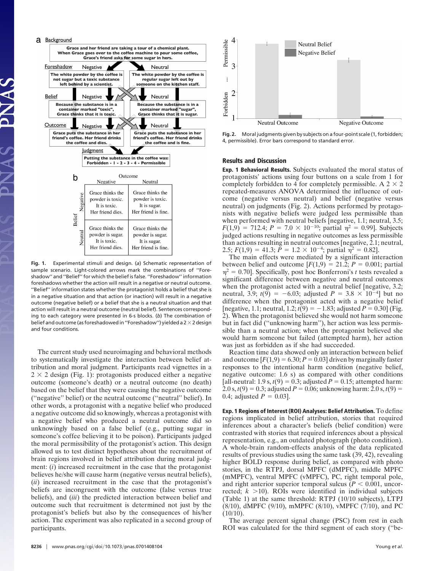



**Fig. 1.** Experimental stimuli and design. (*a*) Schematic representation of sample scenario. Light-colored arrows mark the combinations of ''Foreshadow'' and ''Belief'' for which the belief is false. ''Foreshadow'' information foreshadows whether the action will result in a negative or neutral outcome. ''Belief'' information states whether the protagonist holds a belief that she is in a negative situation and that action (or inaction) will result in a negative outcome (negative belief) or a belief that she is a neutral situation and that action will result in a neutral outcome (neutral belief). Sentences corresponding to each category were presented in 6-s blocks. (*b*) The combination of belief and outcome (as foreshadowed in "Foreshadow") yielded a 2  $\times$  2 design and four conditions.

The current study used neuroimaging and behavioral methods to systematically investigate the interaction between belief attribution and moral judgment. Participants read vignettes in a  $2 \times 2$  design (Fig. 1): protagonists produced either a negative outcome (someone's death) or a neutral outcome (no death) based on the belief that they were causing the negative outcome (''negative'' belief) or the neutral outcome (''neutral'' belief). In other words, a protagonist with a negative belief who produced a negative outcome did so knowingly, whereas a protagonist with a negative belief who produced a neutral outcome did so unknowingly based on a false belief (e.g., putting sugar in someone's coffee believing it to be poison). Participants judged the moral permissibility of the protagonist's action. This design allowed us to test distinct hypotheses about the recruitment of brain regions involved in belief attribution during moral judgment: (*i*) increased recruitment in the case that the protagonist believes he/she will cause harm (negative versus neutral beliefs), (*ii*) increased recruitment in the case that the protagonist's beliefs are incongruent with the outcome (false versus true beliefs), and (*iii*) the predicted interaction between belief and outcome such that recruitment is determined not just by the protagonist's beliefs but also by the consequences of his/her action. The experiment was also replicated in a second group of participants.



**Fig. 2.** Moral judgments given by subjects on a four-point scale (1, forbidden; 4, permissible). Error bars correspond to standard error.

#### **Results and Discussion**

**Exp. 1 Behavioral Results.** Subjects evaluated the moral status of protagonists' actions using four buttons on a scale from 1 for completely forbidden to 4 for completely permissible. A  $2 \times 2$ repeated-measures ANOVA determined the influence of outcome (negative versus neutral) and belief (negative versus neutral) on judgments (Fig. 2). Actions performed by protagonists with negative beliefs were judged less permissible than when performed with neutral beliefs [negative, 1.1; neutral, 3.5;  $F(1,9) = 712.4; P = 7.0 \times 10^{-10};$  partial  $\eta^2 = 0.99$ . Subjects judged actions resulting in negative outcomes as less permissible than actions resulting in neutral outcomes [negative, 2.1; neutral, 2.5;  $F(1,9) = 41.3$ ;  $\bar{P} = 1.2 \times 10^{-4}$ ; partial  $\eta^2 = 0.82$ ].

The main effects were mediated by a significant interaction between belief and outcome  $[F(1,9) = 21.2; P = 0.001;$  partial  $\eta^2 = 0.70$ ]. Specifically, post hoc Bonferroni's *t* tests revealed a significant difference between negative and neutral outcomes when the protagonist acted with a neutral belief [negative, 3.2; neutral, 3.9;  $t(9) = -6.03$ ; adjusted  $P = 3.8 \times 10^{-4}$  but no difference when the protagonist acted with a negative belief [negative, 1.1; neutral, 1.2;  $t(9) = -1.83$ ; adjusted  $P = 0.30$ ] (Fig. 2). When the protagonist believed she would not harm someone but in fact did (''unknowing harm''), her action was less permissible than a neutral action; when the protagonist believed she would harm someone but failed (attempted harm), her action was just as forbidden as if she had succeeded.

Reaction time data showed only an interaction between belief and outcome  $[F(1,9) = 6.30; P = 0.03]$  driven by marginally faster responses to the intentional harm condition (negative belief, negative outcome: 1.6 s) as compared with other conditions [all-neutral: 1.9 s,  $t(9) = 0.3$ ; adjusted  $P = 0.15$ ; attempted harm:  $2.0$  s,  $t(9) = 0.3$ ; adjusted  $P = 0.06$ ; unknowing harm: 2.0 s,  $t(9) =$ 0.4; adjusted  $P = 0.03$ ].

**Exp. 1 Regions of Interest (ROI) Analyses: Belief Attribution.** To define regions implicated in belief attribution, stories that required inferences about a character's beliefs (belief condition) were contrasted with stories that required inferences about a physical representation, e.g., an outdated photograph (photo condition). A whole-brain random-effects analysis of the data replicated results of previous studies using the same task (39, 42), revealing higher BOLD response during belief, as compared with photo stories, in the RTPJ, dorsal MPFC (dMPFC), middle MPFC (mMPFC), ventral MPFC (vMPFC), PC, right temporal pole, and right anterior superior temporal sulcus  $(P < 0.001$ , uncorrected;  $k > 10$ ). ROIs were identified in individual subjects (Table 1) at the same threshold: RTPJ (10/10 subjects), LTPJ (8/10), dMPFC (9/10), mMPFC (8/10), vMPFC (7/10), and PC  $(10/10)$ .

The average percent signal change (PSC) from rest in each ROI was calculated for the third segment of each story (''be-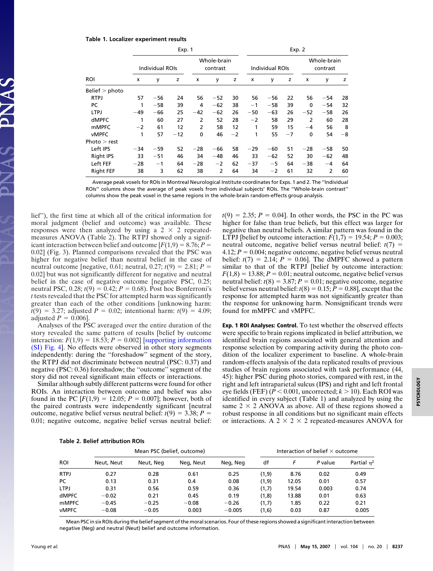|                  | Exp. 1                 |       |       |                         |       | Exp. 2 |                        |       |      |                         |       |    |
|------------------|------------------------|-------|-------|-------------------------|-------|--------|------------------------|-------|------|-------------------------|-------|----|
|                  | <b>Individual ROIs</b> |       |       | Whole-brain<br>contrast |       |        | <b>Individual ROIs</b> |       |      | Whole-brain<br>contrast |       |    |
| <b>ROI</b>       | x                      | у     | z     | x                       | у     | z      | x                      | y     | z    | x                       | y     | z  |
| Belief $>$ photo |                        |       |       |                         |       |        |                        |       |      |                         |       |    |
| <b>RTPJ</b>      | 57                     | $-56$ | 24    | 56                      | $-52$ | 30     | 56                     | $-56$ | 22   | 56                      | $-54$ | 28 |
| PC               | 1                      | $-58$ | 39    | 4                       | $-62$ | 38     | $-1$                   | $-58$ | 39   | 0                       | $-54$ | 32 |
| <b>LTPJ</b>      | $-49$                  | $-66$ | 25    | $-42$                   | $-62$ | 26     | $-50$                  | $-63$ | 26   | $-52$                   | $-58$ | 26 |
| dMPFC            | 1                      | 60    | 27    | 2                       | 52    | 28     | $-2$                   | 58    | 29   | $\overline{2}$          | 60    | 28 |
| <b>mMPFC</b>     | $-2$                   | 61    | 12    | 2                       | 58    | 12     | 1                      | 59    | 15   | $-4$                    | 56    | 8  |
| <b>vMPFC</b>     | 1                      | 57    | $-12$ | 0                       | 46    | $-2$   | 1                      | 55    | $-7$ | 0                       | 54    | -8 |
| Photo $>$ rest   |                        |       |       |                         |       |        |                        |       |      |                         |       |    |
| Left IPS         | $-34$                  | $-59$ | 52    | $-28$                   | $-66$ | 58     | $-29$                  | $-60$ | 51   | $-28$                   | $-58$ | 50 |
| <b>Right IPS</b> | 33                     | $-51$ | 46    | 34                      | $-48$ | 46     | 33                     | $-62$ | 52   | 30                      | $-62$ | 48 |
| Left FEF         | $-28$                  | $-1$  | 64    | $-28$                   | $-2$  | 62     | $-37$                  | -5    | 64   | $-38$                   | -4    | 64 |
| <b>Right FEF</b> | 38                     | 3     | 62    | 38                      | 2     | 64     | 34                     | $-2$  | 61   | 32                      | 2     | 60 |

Average peak voxels for ROIs in Montreal Neurological Institute coordinates for Exps. 1 and 2. The ''Individual ROIs'' columns show the average of peak voxels from individual subjects' ROIs. The ''Whole-brain contrast'' columns show the peak voxel in the same regions in the whole-brain random-effects group analysis.

lief''), the first time at which all of the critical information for moral judgment (belief and outcome) was available. These responses were then analyzed by using a  $2 \times 2$  repeatedmeasures ANOVA (Table 2). The RTPJ showed only a significant interaction between belief and outcome  $[F(1,9) = 8.76; P =$ 0.02] (Fig. 3). Planned comparisons revealed that the PSC was higher for negative belief than neutral belief in the case of neutral outcome [negative, 0.61; neutral, 0.27;  $t(9) = 2.81; P =$ 0.02] but was not significantly different for negative and neutral belief in the case of negative outcome [negative PSC, 0.25; neutral PSC,  $0.28$ ;  $t(9) = 0.42$ ;  $P = 0.68$ ). Post hoc Bonferroni's *t* tests revealed that the PSC for attempted harm was significantly greater than each of the other conditions [unknowing harm:  $t(9) = 3.27$ ; adjusted  $P = 0.02$ ; intentional harm:  $t(9) = 4.09$ ; adjusted  $P = 0.006$ .

Analyses of the PSC averaged over the entire duration of the story revealed the same pattern of results [belief by outcome interaction:  $F(1,9) = 18.53$ ;  $P = 0.002$ ] [\[supporting information](http://www.pnas.org/cgi/content/full/0701408104/DC1) [\(SI\) Fig. 4\]](http://www.pnas.org/cgi/content/full/0701408104/DC1). No effects were observed in other story segments independently: during the ''foreshadow'' segment of the story, the RTPJ did not discriminate between neutral (PSC: 0.37) and negative (PSC: 0.36) foreshadow; the ''outcome'' segment of the story did not reveal significant main effects or interactions.

Similar although subtly different patterns were found for other ROIs. An interaction between outcome and belief was also found in the PC  $[F(1,9) = 12.05; P = 0.007]$ ; however, both of the paired contrasts were independently significant [neutral outcome, negative belief versus neutral belief:  $t(9) = 3.38; P =$ 0.01; negative outcome, negative belief versus neutral belief:

 $t(9) = 2.35$ ;  $P = 0.04$ ]. In other words, the PSC in the PC was higher for false than true beliefs, but this effect was larger for negative than neutral beliefs. A similar pattern was found in the LTPJ [belief by outcome interaction:  $F(1,7) = 19.54; P = 0.003;$ neutral outcome, negative belief versus neutral belief:  $t(7) =$  $4.12; P = 0.004;$  negative outcome, negative belief versus neutral belief:  $t(7) = 2.14$ ;  $P = 0.06$ ]. The dMPFC showed a pattern similar to that of the RTPJ [belief by outcome interaction:  $F(1,8) = 13.88; P = 0.01;$  neutral outcome, negative belief versus neutral belief:  $t(8) = 3.87; P = 0.01;$  negative outcome, negative belief versus neutral belief:  $t(8) = 0.15; P = 0.88$ ], except that the response for attempted harm was not significantly greater than the response for unknowing harm. Nonsignificant trends were found for mMPFC and vMPFC.

**Exp. 1 ROI Analyses: Control.** To test whether the observed effects were specific to brain regions implicated in belief attribution, we identified brain regions associated with general attention and response selection by comparing activity during the photo condition of the localizer experiment to baseline. A whole-brain random-effects analysis of the data replicated results of previous studies of brain regions associated with task performance (44, 45): higher PSC during photo stories, compared with rest, in the right and left intraparietal sulcus (IPS) and right and left frontal eye fields (FEF)  $(P < 0.001$ , uncorrected;  $k > 10$ ). Each ROI was identified in every subject (Table 1) and analyzed by using the same  $2 \times 2$  ANOVA as above. All of these regions showed a robust response in all conditions but no significant main effects or interactions. A  $2 \times 2 \times 2$  repeated-measures ANOVA for

| <b>ROI</b>   |            | Mean PSC (belief, outcome) |           | Interaction of belief $\times$ outcome |        |       |         |               |
|--------------|------------|----------------------------|-----------|----------------------------------------|--------|-------|---------|---------------|
|              | Neut, Neut | Neut, Neg                  | Neg, Neut | Neg, Neg                               | df     |       | P value | Partial $n^2$ |
| <b>RTPJ</b>  | 0.27       | 0.28                       | 0.61      | 0.25                                   | (1, 9) | 8.76  | 0.02    | 0.49          |
| PC.          | 0.13       | 0.31                       | 0.4       | 0.08                                   | (1,9)  | 12.05 | 0.01    | 0.57          |
| <b>LTPJ</b>  | 0.31       | 0.56                       | 0.59      | 0.36                                   | (1,7)  | 19.54 | 0.003   | 0.74          |
| dMPFC        | $-0.02$    | 0.21                       | 0.45      | 0.19                                   | (1,8)  | 13.88 | 0.01    | 0.63          |
| mMPFC        | $-0.45$    | $-0.25$                    | $-0.08$   | $-0.26$                                | (1,7)  | 1.85  | 0.22    | 0.21          |
| <b>vMPFC</b> | $-0.08$    | $-0.05$                    | 0.003     | $-0.005$                               | (1,6)  | 0.03  | 0.87    | 0.005         |

**Table 2. Belief attribution ROIs**

Mean PSC in six ROIs during the belief segment of the moral scenarios. Four of these regions showed a significant interaction between negative (Neg) and neutral (Neut) belief and outcome information.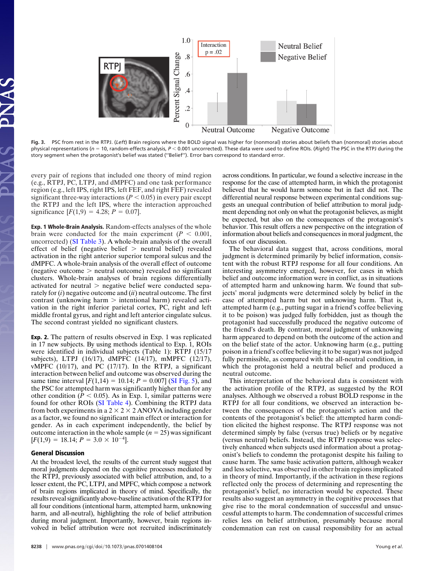

**Fig. 3.** PSC from rest in the RTPJ. (*Left*) Brain regions where the BOLD signal was higher for (nonmoral) stories about beliefs than (nonmoral) stories about physical representations (n = 10, random-effects analysis, P < 0.001 uncorrected). These data were used to define ROIs. (*Right*) The PSC in the RTPJ during the story segment when the protagonist's belief was stated (''Belief''). Error bars correspond to standard error.

every pair of regions that included one theory of mind region (e.g., RTPJ, PC, LTPJ, and dMPFC) and one task performance region (e.g., left IPS, right IPS, left FEF, and right FEF) revealed significant three-way interactions ( $P < 0.05$ ) in every pair except the RTPJ and the left IPS, where the interaction approached significance  $[F(1,9) = 4.28; P = 0.07]$ .

**Exp. 1 Whole-Brain Analysis.** Random-effects analyses of the whole brain were conducted for the main experiment  $(P < 0.001$ , uncorrected) [\(SI Table 3\)](http://www.pnas.org/cgi/content/full/0701408104/DC1). A whole-brain analysis of the overall effect of belief (negative belief  $>$  neutral belief) revealed activation in the right anterior superior temporal sulcus and the dMPFC. A whole-brain analysis of the overall effect of outcome (negative outcome  $>$  neutral outcome) revealed no significant clusters. Whole-brain analyses of brain regions differentially activated for neutral  $>$  negative belief were conducted separately for (*i*) negative outcome and (*ii*) neutral outcome. The first contrast (unknowing harm  $>$  intentional harm) revealed activation in the right inferior parietal cortex, PC, right and left middle frontal gyrus, and right and left anterior cingulate sulcus. The second contrast yielded no significant clusters.

**Exp. 2.** The pattern of results observed in Exp. 1 was replicated in 17 new subjects. By using methods identical to Exp. 1, ROIs were identified in individual subjects (Table 1): RTPJ (15/17 subjects), LTPJ (16/17), dMPFC (14/17), mMPFC (12/17), vMPFC  $(10/17)$ , and PC  $(17/17)$ . In the RTPJ, a significant interaction between belief and outcome was observed during the same time interval  $[F(1,14) = 10.14; P = 0.007]$  [\(SI Fig. 5\)](http://www.pnas.org/cgi/content/full/0701408104/DC1), and the PSC for attempted harm was significantly higher than for any other condition ( $P < 0.05$ ). As in Exp. 1, similar patterns were found for other ROIs [\(SI Table 4\)](http://www.pnas.org/cgi/content/full/0701408104/DC1). Combining the RTPJ data from both experiments in a  $2 \times 2 \times 2$  ANOVA including gender as a factor, we found no significant main effect or interaction for gender. As in each experiment independently, the belief by outcome interaction in the whole sample  $(n = 25)$  was significant  $[F(1,9) = 18.14; P = 3.0 \times 10^{-4}].$ 

### **General Discussion**

At the broadest level, the results of the current study suggest that moral judgments depend on the cognitive processes mediated by the RTPJ, previously associated with belief attribution, and, to a lesser extent, the PC, LTPJ, and MPFC, which compose a network of brain regions implicated in theory of mind. Specifically, the results reveal significantly above-baseline activation of the RTPJ for all four conditions (intentional harm, attempted harm, unknowing harm, and all-neutral), highlighting the role of belief attribution during moral judgment. Importantly, however, brain regions involved in belief attribution were not recruited indiscriminately

**8238** | www.pnas.org/cgi/doi/10.1073/pnas.0701408104 Young *et al.* 

across conditions. In particular, we found a selective increase in the response for the case of attempted harm, in which the protagonist believed that he would harm someone but in fact did not. The differential neural response between experimental conditions suggests an unequal contribution of belief attribution to moral judgment depending not only on what the protagonist believes, as might be expected, but also on the consequences of the protagonist's behavior. This result offers a new perspective on the integration of information about beliefs and consequences in moral judgment, the focus of our discussion.

The behavioral data suggest that, across conditions, moral judgment is determined primarily by belief information, consistent with the robust RTPJ response for all four conditions. An interesting asymmetry emerged, however, for cases in which belief and outcome information were in conflict, as in situations of attempted harm and unknowing harm. We found that subjects' moral judgments were determined solely by belief in the case of attempted harm but not unknowing harm. That is, attempted harm (e.g., putting sugar in a friend's coffee believing it to be poison) was judged fully forbidden, just as though the protagonist had successfully produced the negative outcome of the friend's death. By contrast, moral judgment of unknowing harm appeared to depend on both the outcome of the action and on the belief state of the actor. Unknowing harm (e.g., putting poison in a friend's coffee believing it to be sugar) was not judged fully permissible, as compared with the all-neutral condition, in which the protagonist held a neutral belief and produced a neutral outcome.

This interpretation of the behavioral data is consistent with the activation profile of the RTPJ, as suggested by the ROI analyses. Although we observed a robust BOLD response in the RTPJ for all four conditions, we observed an interaction between the consequences of the protagonist's action and the contents of the protagonist's belief: the attempted harm condition elicited the highest response. The RTPJ response was not determined simply by false (versus true) beliefs or by negative (versus neutral) beliefs. Instead, the RTPJ response was selectively enhanced when subjects used information about a protagonist's beliefs to condemn the protagonist despite his failing to cause harm. The same basic activation pattern, although weaker and less selective, was observed in other brain regions implicated in theory of mind. Importantly, if the activation in these regions reflected only the process of determining and representing the protagonist's belief, no interaction would be expected. These results also suggest an asymmetry in the cognitive processes that give rise to the moral condemnation of successful and unsuccessful attempts to harm. The condemnation of successful crimes relies less on belief attribution, presumably because moral condemnation can rest on causal responsibility for an actual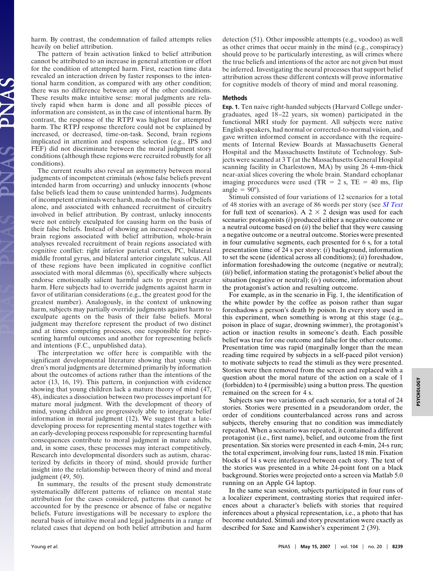harm. By contrast, the condemnation of failed attempts relies heavily on belief attribution.

The pattern of brain activation linked to belief attribution cannot be attributed to an increase in general attention or effort for the condition of attempted harm. First, reaction time data revealed an interaction driven by faster responses to the intentional harm condition, as compared with any other condition; there was no difference between any of the other conditions. These results make intuitive sense: moral judgments are relatively rapid when harm is done and all possible pieces of information are consistent, as in the case of intentional harm. By contrast, the response of the RTPJ was highest for attempted harm. The RTPJ response therefore could not be explained by increased, or decreased, time-on-task. Second, brain regions implicated in attention and response selection (e.g., IPS and FEF) did not discriminate between the moral judgment story conditions (although these regions were recruited robustly for all conditions).

The current results also reveal an asymmetry between moral judgments of incompetent criminals (whose false beliefs prevent intended harm from occurring) and unlucky innocents (whose false beliefs lead them to cause unintended harms). Judgments of incompetent criminals were harsh, made on the basis of beliefs alone, and associated with enhanced recruitment of circuitry involved in belief attribution. By contrast, unlucky innocents were not entirely exculpated for causing harm on the basis of their false beliefs. Instead of showing an increased response in brain regions associated with belief attribution, whole-brain analyses revealed recruitment of brain regions associated with cognitive conflict: right inferior parietal cortex, PC, bilateral middle frontal gyrus, and bilateral anterior cingulate sulcus. All of these regions have been implicated in cognitive conflict associated with moral dilemmas (6), specifically where subjects endorse emotionally salient harmful acts to prevent greater harm. Here subjects had to override judgments against harm in favor of utilitarian considerations (e.g., the greatest good for the greatest number). Analogously, in the context of unknowing harm, subjects may partially override judgments against harm to exculpate agents on the basis of their false beliefs. Moral judgment may therefore represent the product of two distinct and at times competing processes, one responsible for representing harmful outcomes and another for representing beliefs and intentions (F.C., unpublished data).

The interpretation we offer here is compatible with the significant developmental literature showing that young children's moral judgments are determined primarily by information about the outcomes of actions rather than the intentions of the actor (13, 16, 19). This pattern, in conjunction with evidence showing that young children lack a mature theory of mind (47, 48), indicates a dissociation between two processes important for mature moral judgment. With the development of theory of mind, young children are progressively able to integrate belief information in moral judgment (12). We suggest that a latedeveloping process for representing mental states together with an early-developing process responsible for representing harmful consequences contribute to moral judgment in mature adults, and, in some cases, these processes may interact competitively. Research into developmental disorders such as autism, characterized by deficits in theory of mind, should provide further insight into the relationship between theory of mind and moral judgment (49, 50).

In summary, the results of the present study demonstrate systematically different patterns of reliance on mental state attribution for the cases considered, patterns that cannot be accounted for by the presence or absence of false or negative beliefs. Future investigations will be necessary to explore the neural basis of intuitive moral and legal judgments in a range of related cases that depend on both belief attribution and harm detection (51). Other impossible attempts (e.g., voodoo) as well as other crimes that occur mainly in the mind (e.g., conspiracy) should prove to be particularly interesting, as will crimes where the true beliefs and intentions of the actor are not given but must be inferred. Investigating the neural processes that support belief attribution across these different contexts will prove informative for cognitive models of theory of mind and moral reasoning.

### **Methods**

**Exp. 1.** Ten naive right-handed subjects (Harvard College undergraduates, aged 18–22 years, six women) participated in the functional MRI study for payment. All subjects were native English speakers, had normal or corrected-to-normal vision, and gave written informed consent in accordance with the requirements of Internal Review Boards at Massachusetts General Hospital and the Massachusetts Institute of Technology. Subjects were scanned at 3 T (at the Massachusetts General Hospital scanning facility in Charlestown, MA) by using 26 4-mm-thick near-axial slices covering the whole brain. Standard echoplanar imaging procedures were used (TR  $= 2$  s, TE  $= 40$  ms, flip angle  $= 90^{\circ}$ ).

Stimuli consisted of four variations of 12 scenarios for a total of 48 stories with an average of 86 words per story (see *[SI Text](http://www.pnas.org/cgi/content/full/0701408104/DC1)* for full text of scenarios). A  $2 \times 2$  design was used for each scenario: protagonists (*i*) produced either a negative outcome or a neutral outcome based on (*ii*) the belief that they were causing a negative outcome or a neutral outcome. Stories were presented in four cumulative segments, each presented for 6 s, for a total presentation time of 24 s per story: (*i*) background, information to set the scene (identical across all conditions); (*ii*) foreshadow, information foreshadowing the outcome (negative or neutral); (*iii*) belief, information stating the protagonist's belief about the situation (negative or neutral); (*iv*) outcome, information about the protagonist's action and resulting outcome.

For example, as in the scenario in Fig. 1, the identification of the white powder by the coffee as poison rather than sugar foreshadows a person's death by poison. In every story used in this experiment, when something is wrong at this stage (e.g., poison in place of sugar, drowning swimmer), the protagonist's action or inaction results in someone's death. Each possible belief was true for one outcome and false for the other outcome. Presentation time was rapid (marginally longer than the mean reading time required by subjects in a self-paced pilot version) to motivate subjects to read the stimuli as they were presented. Stories were then removed from the screen and replaced with a question about the moral nature of the action on a scale of 1 (forbidden) to 4 (permissible) using a button press. The question remained on the screen for 4 s.

Subjects saw two variations of each scenario, for a total of 24 stories. Stories were presented in a pseudorandom order, the order of conditions counterbalanced across runs and across subjects, thereby ensuring that no condition was immediately repeated. When a scenario was repeated, it contained a different protagonist (i.e., first name), belief, and outcome from the first presentation. Six stories were presented in each 4-min, 24-s run; the total experiment, involving four runs, lasted 18 min. Fixation blocks of 14 s were interleaved between each story. The text of the stories was presented in a white 24-point font on a black background. Stories were projected onto a screen via Matlab 5.0 running on an Apple G4 laptop.

In the same scan session, subjects participated in four runs of a localizer experiment, contrasting stories that required inferences about a character's beliefs with stories that required inferences about a physical representation, i.e., a photo that has become outdated. Stimuli and story presentation were exactly as described for Saxe and Kanwisher's experiment 2 (39).